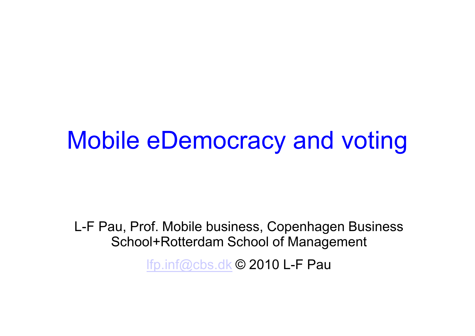#### Mobile eDemocracy and voting

L-F Pau, Prof. Mobile business, Copenhagen Business School+Rotterdam School of Management

lfp.inf@cbs.dk © 2010 L-F Pau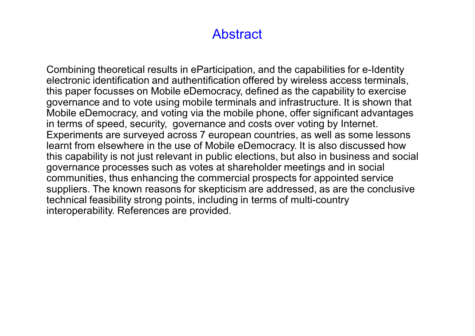#### **Abstract**

Combining theoretical results in eParticipation, and the capabilities for e-Identity electronic identification and authentification offered by wireless access terminals, this paper focusses on Mobile eDemocracy, defined as the capability to exercise governance and to vote using mobile terminals and infrastructure. It is shown that Mobile eDemocracy, and voting via the mobile phone, offer significant advantages in terms of speed, security, governance and costs over voting by Internet. Experiments are surveyed across 7 european countries, as well as some lessons learnt from elsewhere in the use of Mobile eDemocracy. It is also discussed how this capability is not just relevant in public elections, but also in business and social governance processes such as votes at shareholder meetings and in social communities, thus enhancing the commercial prospects for appointed service suppliers. The known reasons for skepticism are addressed, as are the conclusive technical feasibility strong points, including in terms of multi-country interoperability. References are provided.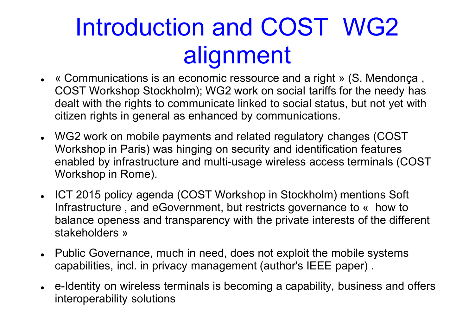## Introduction and COST WG2 alignment

- « Communications is an economic ressource and a right » (S. Mendonça, COST Workshop Stockholm); WG2 work on social tariffs for the needy has dealt with the rights to communicate linked to social status, but not yet with citizen rights in general as enhanced by communications.
- WG2 work on mobile payments and related regulatory changes (COST Workshop in Paris) was hinging on security and identification features enabled by infrastructure and multi-usage wireless access terminals (COST Workshop in Rome).
- ICT 2015 policy agenda (COST Workshop in Stockholm) mentions Soft Infrastructure, and eGovernment, but restricts governance to « how to balance openess and transparency with the private interests of the different stakeholders »
- Public Governance, much in need, does not exploit the mobile systems capabilities, incl. in privacy management (author's IEEE paper) .
- e-Identity on wireless terminals is becoming a capability, business and offers interoperability solutions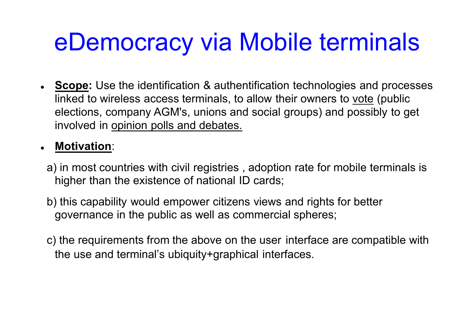## eDemocracy via Mobile terminals

 **Scope:** Use the identification & authentification technologies and processes linked to wireless access terminals, to allow their owners to vote (public elections, company AGM's, unions and social groups) and possibly to get involved in opinion polls and debates.

#### **Motivation**:

- a) in most countries with civil registries , adoption rate for mobile terminals is higher than the existence of national ID cards;
- b) this capability would empower citizens views and rights for better governance in the public as well as commercial spheres;
- c) the requirements from the above on the user interface are compatible with the use and terminal's ubiquity+graphical interfaces.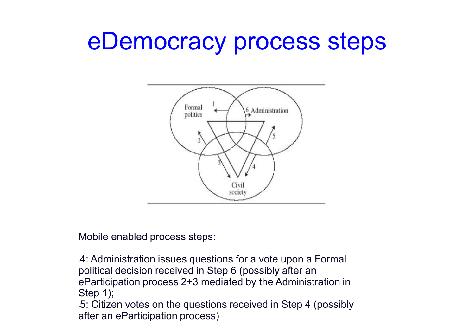#### eDemocracy process steps



Mobile enabled process steps:

•4: Administration issues questions for a vote upon a Formal political decision received in Step 6 (possibly after an eParticipation process 2+3 mediated by the Administration in Step 1);

•5: Citizen votes on the questions received in Step 4 (possibly after an eParticipation process)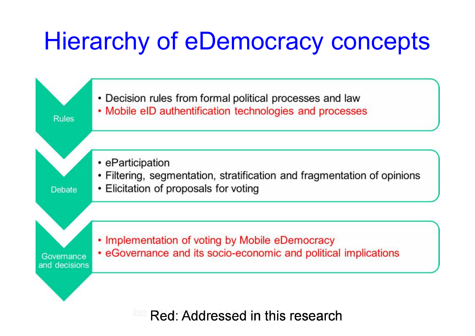## Hierarchy of eDemocracy concepts



<sup>200</sup> Red: Addressed in this research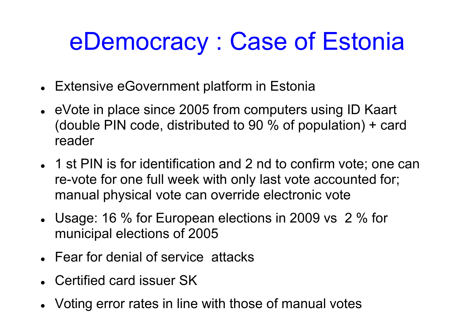## eDemocracy : Case of Estonia

- Extensive eGovernment platform in Estonia
- eVote in place since 2005 from computers using ID Kaart (double PIN code, distributed to 90 % of population) + card reader
- 1 st PIN is for identification and 2 nd to confirm vote; one can re-vote for one full week with only last vote accounted for; manual physical vote can override electronic vote
- Usage: 16 % for European elections in 2009 vs 2 % for municipal elections of 2005
- Fear for denial of service attacks
- Certified card issuer SK
- Voting error rates in line with those of manual votes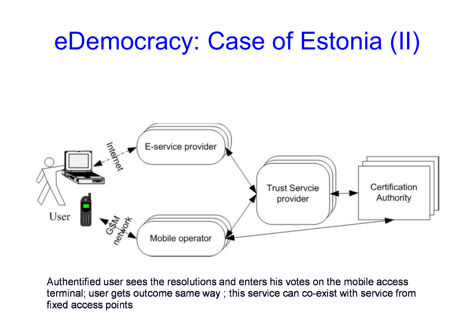## eDemocracy: Case of Estonia (II)



Authentified user sees the resolutions and enters his votes on the mobile access terminal; user gets outcome same way; this service can co-exist with service from fixed access points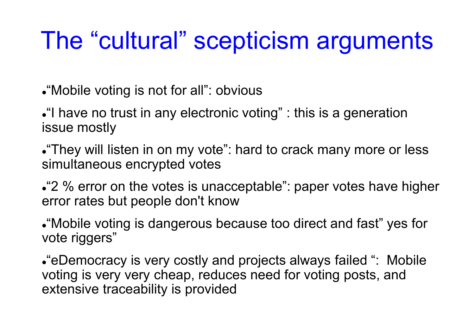## The "cultural" scepticism arguments

"Mobile voting is not for all": obvious

• I have no trust in any electronic voting" : this is a generation issue mostly

"They will listen in on my vote": hard to crack many more or less simultaneous encrypted votes

• <sup>2</sup>% error on the votes is unacceptable": paper votes have higher error rates but people don't know

"Mobile voting is dangerous because too direct and fast" yes for vote riggers"

"eDemocracy is very costly and projects always failed ": Mobile voting is very very cheap, reduces need for voting posts, and extensive traceability is provided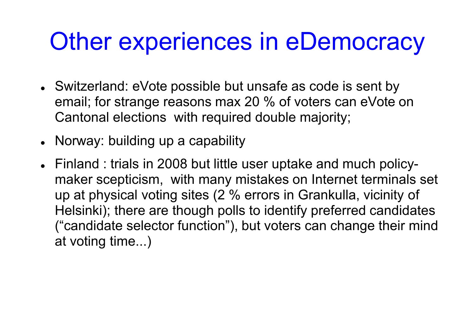### Other experiences in eDemocracy

- Switzerland: eVote possible but unsafe as code is sent by email; for strange reasons max 20 % of voters can eVote on Cantonal elections with required double majority;
- Norway: building up a capability
- Finland : trials in 2008 but little user uptake and much policymaker scepticism, with many mistakes on Internet terminals set up at physical voting sites (2 % errors in Grankulla, vicinity of Helsinki); there are though polls to identify preferred candidates ("candidate selector function"), but voters can change their mind at voting time...)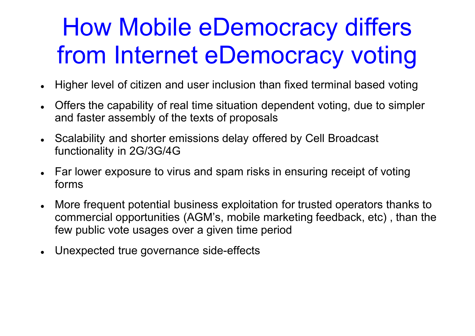## How Mobile eDemocracy differs from Internet eDemocracy voting

- Higher level of citizen and user inclusion than fixed terminal based voting
- Offers the capability of real time situation dependent voting, due to simpler and faster assembly of the texts of proposals
- Scalability and shorter emissions delay offered by Cell Broadcast functionality in 2G/3G/4G
- Far lower exposure to virus and spam risks in ensuring receipt of voting forms
- More frequent potential business exploitation for trusted operators thanks to commercial opportunities (AGM's, mobile marketing feedback, etc) , than the few public vote usages over a given time period
- Unexpected true governance side-effects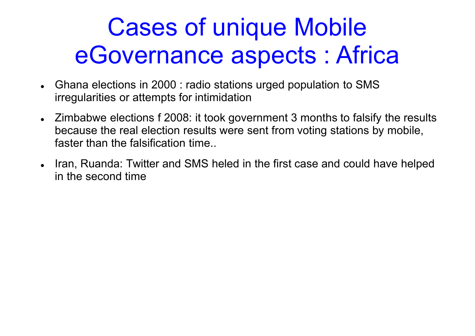## Cases of unique Mobile eGovernance aspects : Africa

- Ghana elections in 2000 : radio stations urged population to SMS irregularities or attempts for intimidation
- Zimbabwe elections f 2008: it took government 3 months to falsify the results because the real election results were sent from voting stations by mobile, faster than the falsification time..
- Iran, Ruanda: Twitter and SMS heled in the first case and could have helped in the second time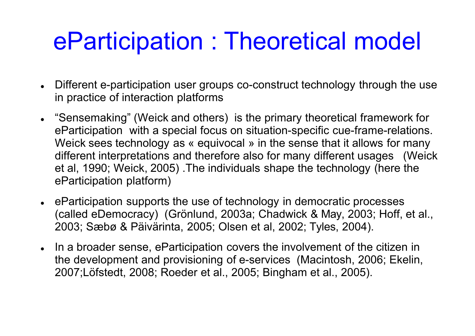## eParticipation : Theoretical model

- Different e-participation user groups co-construct technology through the use in practice of interaction platforms
- "Sensemaking" (Weick and others) is the primary theoretical framework for eParticipation with a special focus on situation-specific cue-frame-relations. Weick sees technology as « equivocal » in the sense that it allows for many different interpretations and therefore also for many different usages (Weick et al, 1990; Weick, 2005) .The individuals shape the technology (here the eParticipation platform)
- eParticipation supports the use of technology in democratic processes (called eDemocracy) (Grànlund, 2003a; Chadwick & May, 2003; Hoff, et al., 2003; Sæbø & Päivärinta, 2005; Olsen et al, 2002; Tyles, 2004).
- In a broader sense, eParticipation covers the involvement of the citizen in the development and provisioning of e-services (Macintosh, 2006; Ekelin, 2007;Làfstedt, 2008; Roeder et al., 2005; Bingham et al., 2005).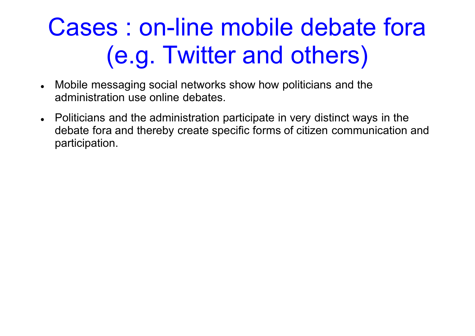# Cases : on-line mobile debate fora (e.g. Twitter and others)

- Mobile messaging social networks show how politicians and the administration use online debates.
- Politicians and the administration participate in very distinct ways in the debate fora and thereby create specific forms of citizen communication and participation.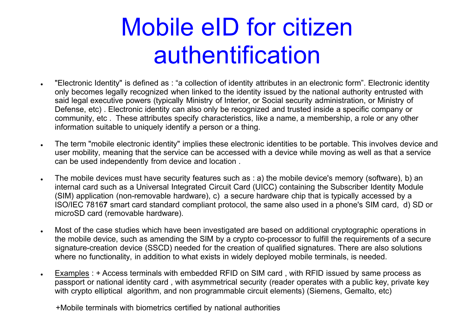## Mobile eID for citizen authentification

- "Electronic Identity" is defined as : "a collection of identity attributes in an electronic form". Electronic identity only becomes legally recognized when linked to the identity issued by the national authority entrusted with said legal executive powers (typically Ministry of Interior, or Social security administration, or Ministry of Defense, etc) . Electronic identity can also only be recognized and trusted inside a specific company or community, etc . These attributes specify characteristics, like a name, a membership, a role or any other information suitable to uniquely identify a person or a thing.
- The term "mobile electronic identity" implies these electronic identities to be portable. This involves device and user mobility, meaning that the service can be accessed with a device while moving as well as that a service can be used independently from device and location .
- The mobile devices must have security features such as : a) the mobile device's memory (software), b) an internal card such as a Universal Integrated Circuit Card (UICC) containing the Subscriber Identity Module (SIM) application (non-removable hardware), c) a secure hardware chip that is typically accessed by a ISO/IEC 7816**7** smart card standard compliant protocol, the same also used in a phone's SIM card, d) SD or microSD card (removable hardware).
- Most of the case studies which have been investigated are based on additional cryptographic operations in the mobile device, such as amending the SIM by a crypto co-processor to fulfill the requirements of a secure signature-creation device (SSCD) needed for the creation of qualified signatures. There are also solutions where no functionality, in addition to what exists in widely deployed mobile terminals, is needed.
- Examples : + Access terminals with embedded RFID on SIM card , with RFID issued by same process as passport or national identity card , with asymmetrical security (reader operates with a public key, private key with crypto elliptical algorithm, and non programmable circuit elements) (Siemens, Gemalto, etc)

+Mobile terminals with biometrics certified by national authorities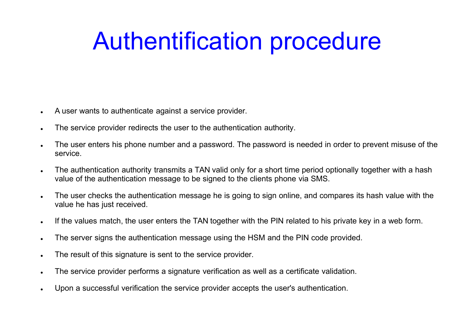## Authentification procedure

- A user wants to authenticate against a service provider.
- The service provider redirects the user to the authentication authority.
- The user enters his phone number and a password. The password is needed in order to prevent misuse of the service.
- The authentication authority transmits a TAN valid only for a short time period optionally together with a hash value of the authentication message to be signed to the clients phone via SMS.
- The user checks the authentication message he is going to sign online, and compares its hash value with the value he has just received.
- If the values match, the user enters the TAN together with the PIN related to his private key in a web form.
- The server signs the authentication message using the HSM and the PIN code provided.
- . The result of this signature is sent to the service provider.
- The service provider performs a signature verification as well as a certificate validation.
- Upon a successful verification the service provider accepts the user's authentication.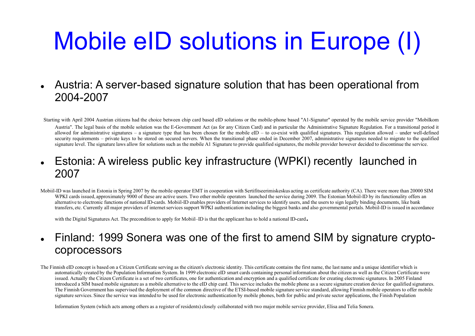# Mobile eID solutions in Europe (I)

 Austria: A server-based signature solution that has been operational from 2004-2007

Starting with April 2004 Austrian citizens had the choice between chip card based eID solutions or the mobile-phone based "A1-Signatur" operated by the mobile service provider "Mobilkom Austria". The legal basis of the mobile solution was the E-Government Act (as for any Citizen Card) and in particular the Administrative Signature Regulation. For a transitional period it allowed for administrative signatures – a signature type that has been chosen for the mobile  $eID - to$  co-exist with qualified signatures. This regulation allowed – under well-defined security requirements – private keys to be stored on secured servers. When the transitional phase ended in December 2007, administrative signatures needed to migrate to the qualified signature level. The signature laws allow for solutions such as the mobile A1 Signature to provide qualified signatures, the mobile provider however decided to discontinue the service.

#### Estonia: A wireless public key infrastructure (WPKI) recently launched in 2007

Mobiil-ID was launched in Estonia in Spring 2007 by the mobile operator EMT in cooperation with Sertifitseerimiskeskus acting as certificate authority (CA). There were more than 20000 SIM WPKI cards issued, approximately 9000 of these are active users. Two other mobile operators launched the service during 2009. The Estonian Mobiil-ID by its functionality offers an alternative to electronic functions of national ID-cards. Mobiil-ID enables providers of Internet services to identify users, and the users to sign legally binding documents, like bank transfers, etc. Currently all major providers of internet services support WPKI authentication including the biggest banks and also governmental portals. Mobiil-ID is issued in accordance

with the Digital Signatures Act. The precondition to apply for Mobiil–ID is that the applicant has to hold a national ID-card.

#### Finland: 1999 Sonera was one of the first to amend SIM by signature cryptocoprocessors

The Finnish eID concept is based on a Citizen Certificate serving as the citizen's electronic identity. This certificate contains the first name, the last name and a unique identifier which is automatically created by the Population Information System. In 1999 electronic eID smart cards containing personal information about the citizen as well as the Citizen Certificate were issued. Actually the Citizen Certificate is a set of two certificates, one for authentication and encryption and a qualified certificate for creating electronic signatures. In 2005 Finland introduced a SIM based mobile signature as a mobile alternative to the eID chip card. This service includes the mobile phone as a secure signature creation device for qualified signatures. The Finnish Government has supervised the deployment of the common directive of the ETSI-based mobile signature service standard, allowing Finnish mobile operators to offer mobile signature services. Since the service was intended to be used for electronic authentication by mobile phones, both for public and private sector applications, the Finish Population

Information System (which acts among others as a register of residents) closely collaborated with two major mobile service provider, Elisa and Telia Sonera.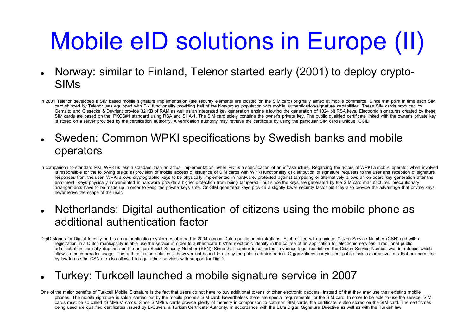# Mobile eID solutions in Europe (II)

- Norway: similar to Finland, Telenor started early (2001) to deploy crypto-SIMs
- In 2001 Telenor developed a SIM based mobile signature implementation (the security elements are located on the SIM card) originally aimed at mobile commerce. Since that point in time each SIM card shipped by Telenor was equipped with PKI functionality providing half of the Norwegian population with mobile authentication/signature capabilities. These SIM cards produced by Gemalto and Giesecke & Devrient provide 32 KB of RAM as well as an integrated key generation engine allowing the generation of 1024 bit RSA keys. Electronic signatures created by these SIM cards are based on the PKCS#1 standard using RSA and SHA-1. The SIM card solely contains the owner's private key. The public qualified certificate linked with the owner's private key is stored on a server provided by the certification authority. A verification authority may retrieve the certificate by using the particular SIM card's unique ICCID
- Sweden: Common WPKI specifications by Swedish banks and mobile operators
- In comparison to standard PKI, WPKI is less a standard than an actual implementation, while PKI is a specification of an infrastructure. Regarding the actors of WPKI a mobile operator when involved is responsible for the following tasks: a) provision of mobile access b) issuance of SIM cards with WPKI functionality c) distribution of signature requests to the user and reception of signature responses from the user. WPKI allows cryptographic keys to be physically implemented in hardware, protected against tampering or alternatively allows an on-board key generation after the enrolment. Keys physically implemented in hardware provide a higher protection from being tampered; but since the keys are generated by the SIM card manufacturer, precautionary arrangements have to be made up in order to keep the private keys safe. On-SIM generated keys provide a slightly lower security factor but they also provide the advantage that private keys never leave the scope of the user.
- Netherlands: Digital authentication of citizens using the mobile phone as additional authentication factor
- DigiD stands for Digital Identity and is an authentication system established in 2004 among Dutch public administrations. Each citizen with a unique Citizen Service Number (CSN) and with a registration in a Dutch municipality is able use the service in order to authenticate his/her electronic identity in the course of an application for electronic services. Traditional public administration basically depends on the unique Social Security Number (SSN). Since that number is subjected to various legal restrictions the Citizen Service Number was introduced which allows a much broader usage. The authentication solution is however not bound to use by the public administration. Organizations carrying out public tasks or organizations that are permitted by law to use the CSN are also allowed to equip their services with support for DigiD.

#### Turkey: Turkcell launched a mobile signature service in 2007

One of the major benefits of Turkcell Mobile Signature is the fact that users do not have to buy additional tokens or other electronic gadgets. Instead of that they may use their existing mobile phones. The mobile signature is solely carried out by the mobile phone's SIM card. Nevertheless there are special requirements for the SIM card. In order to be able to use the service, SIM cards must be so called "SIMPlus" cards. Since SIMPlus cards provide plenty of memory in comparison to common SIM cards, the certificate is also stored on the SIM card. The certificates being used are qualified certificates issued by E-Güven, a Turkish Certificate Authority, in accordance with the EU's Digital Signature Directive as well as with the Turkish law.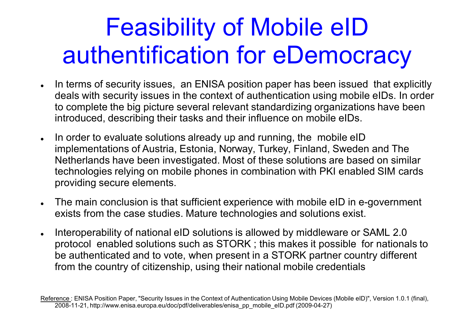## Feasibility of Mobile eID authentification for eDemocracy

- In terms of security issues, an ENISA position paper has been issued that explicitly deals with security issues in the context of authentication using mobile eIDs. In order to complete the big picture several relevant standardizing organizations have been introduced, describing their tasks and their influence on mobile eIDs.
- . In order to evaluate solutions already up and running, the mobile eID implementations of Austria, Estonia, Norway, Turkey, Finland, Sweden and The Netherlands have been investigated. Most of these solutions are based on similar technologies relying on mobile phones in combination with PKI enabled SIM cards providing secure elements.
- The main conclusion is that sufficient experience with mobile eID in e-government exists from the case studies. Mature technologies and solutions exist.
- . Interoperability of national eID solutions is allowed by middleware or SAML 2.0 protocol enabled solutions such as STORK ; this makes it possible for nationals to be authenticated and to vote, when present in a STORK partner country different from the country of citizenship, using their national mobile credentials

Reference : ENISA Position Paper, "Security Issues in the Context of Authentication Using Mobile Devices (Mobile eID)", Version 1.0.1 (final), 2008-11-[21, http://www.enisa.europa.eu/doc/pdf/deliverables/enisa\\_pp\\_mobile\\_eID.pdf \(2009-](21, http://www.enisa.europa.eu/doc/pdf/deliverables/enisa_pp_mobile_eID.pdf (2009)04-27)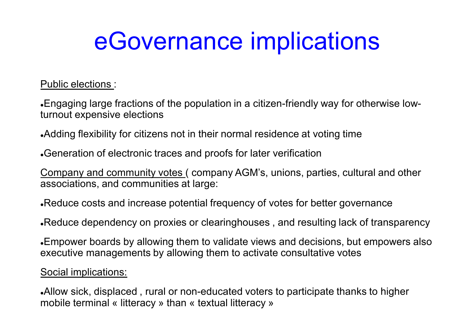## eGovernance implications

Public elections :

Engaging large fractions of the population in a citizen-friendly way for otherwise lowturnout expensive elections

Adding flexibility for citizens not in their normal residence at voting time

Generation of electronic traces and proofs for later verification

Company and community votes ( company AGM's, unions, parties, cultural and other associations, and communities at large:

Reduce costs and increase potential frequency of votes for better governance

Reduce dependency on proxies or clearinghouses , and resulting lack of transparency

Empower boards by allowing them to validate views and decisions, but empowers also executive managements by allowing them to activate consultative votes

Social implications:

Allow sick, displaced , rural or non-educated voters to participate thanks to higher mobile terminal « litteracy » than « textual litteracy »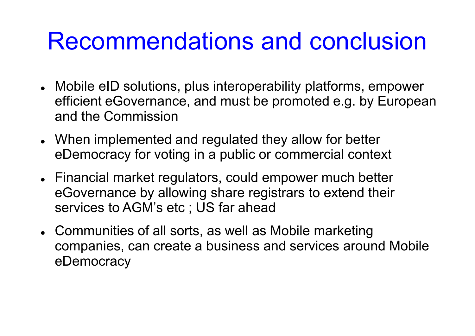### Recommendations and conclusion

- Mobile eID solutions, plus interoperability platforms, empower efficient eGovernance, and must be promoted e.g. by European and the Commission
- When implemented and regulated they allow for better eDemocracy for voting in a public or commercial context
- Financial market regulators, could empower much better eGovernance by allowing share registrars to extend their services to AGM's etc ; US far ahead
- Communities of all sorts, as well as Mobile marketing companies, can create a business and services around Mobile eDemocracy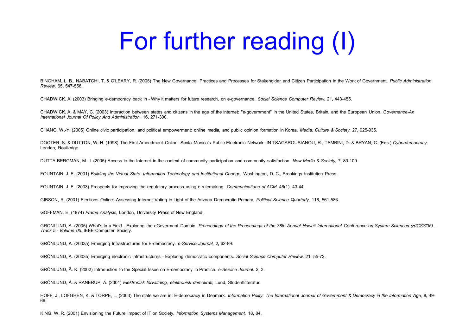## For further reading (I)

BINGHAM, L. B., NABATCHI, T. & O'LEARY, R. (2005) The New Governance: Practices and Processes for Stakeholder and Citizen Participation in the Work of Government. *Public Administration Review,* 65**,** 547-558.

CHADWICK, A. (2003) Bringing e-democracy back in - Why it matters for future research, on e-governance. *Social Science Computer Review,* 21**,** 443-455.

CHADWICK, A. & MAY, C. (2003) Interaction between states and citizens in the age of the internet: "e-government" in the United States, Britain, and the European Union. *Governance-An International Journal Of Policy And Administration,* 16**,** 271-300.

CHANG, W.-Y. (2005) Online civic participation, and political empowerment: online media, and public opinion formation in Korea. *Media, Culture & Society,* 27**,** 925-935.

DOCTER, S. & DUTTON, W. H. (1998) The First Amendment Online: Santa Monica's Public Electronic Network. IN TSAGAROUSIANOU, R., TAMBINI, D. & BRYAN, C. (Eds.) *Cyberdemocracy.*  London, Routledge.

DUTTA-BERGMAN, M. J. (2005) Access to the Internet in the context of community participation and community satisfaction. *New Media & Society,* 7**,** 89-109.

FOUNTAIN, J. E. (2001) *Building the Virtual State: Information Technology and Institutional Change,* Washington, D. C., Brookings Institution Press.

FOUNTAIN, J. E. (2003) Prospects for improving the regulatory process using e-rulemaking. *Communications of ACM*. 46(1), 43-44.

GIBSON, R. (2001) Elections Online: Assessing Internet Voting in Light of the Arizona Democratic Primary. *Political Science Quarterly,* 116**,** 561-583.

GOFFMAN, E. (1974) *Frame Analysis,* London, University Press of New England.

GRONLUND, A. (2005) What's In a Field - Exploring the eGoverment Domain. *Proceedings of the Proceedings of the 38th Annual Hawaii International Conference on System Sciences (HICSS'05) - Track 5 - Volume 05.* IEEE Computer Society.

GRçNLUND, A. (2003a) Emerging Infrastructures for E-democracy. *e-Service Journal,* 2**,** 62-89.

GRçNLUND, A. (2003b) Emerging electronic infrastructures - Exploring democratic components. *Social Science Computer Review,* 21**,** 55-72.

GRçNLUND, é. K. (2002) Introduction to the Special Issue on E-democracy in Practice. *e-Service Journal,* 2**,** 3.

GRÖNLUND, Å. & RANERUP, A. (2001) *Elektronisk förvaltning, elektronisk demokrati*, Lund, Studentlitteratur.

HOFF, J., LOFGREN, K. & TORPE, L. (2003) The state we are in: E-democracy in Denmark. *Information Polity: The International Journal of Government & Democracy in the Information Age,* 8**,** 49- 66.

KING, W. R. (2001) Envisioning the Future Impact of IT on Society. *Information Systems Management,* 18**,** 84.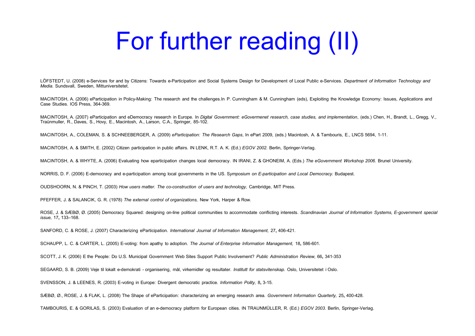## For further reading (II)

LÖFSTEDT, U. (2008) e-Services for and by Citizens: Towards e-Participation and Social Systems Design for Development of Local Public e-Services. *Department of Information Technology and Media.* Sundsvall, Sweden, Mittuniversitetet.

MACINTOSH, A. (2006) eParticipation in Policy-Making: The research and the challenges.In P. Cunningham & M. Cunningham (eds), Exploiting the Knowledge Economy: Issues, Applications and Case Studies. IOS Press, 364-369.

MACINTOSH, A. (2007) eParticipation and eDemocracy research in Europe. In *Digital Government: eGovermenet research, case studies, and implementation*, (eds.) Chen, H., Brandt, L., Gregg, V., Traånmuller, R., Daves, S., Hovy, E., Macintosh, A., Larson, C.A., Springer, 85-102.

MACINTOSH, A., COLEMAN, S. & SCHNEEBERGER, A. (2009) *eParticipation: The Research Gaps*, In ePart 2009, (eds.) Macintosh, A. & Tambouris, E., LNCS 5694, 1-11.

MACINTOSH, A. & SMITH, E. (2002) Citizen participation in public affairs. IN LENK, R.T. A. K. (Ed.) *EGOV 2002.* Berlin, Springer-Verlag.

MACINTOSH, A. & WHYTE, A. (2006) Evaluating how eparticipation changes local democracy. IN IRANI, Z. & GHONEIM, A. (Eds.) *The eGovernment Workshop 2006.* Brunel University.

NORRIS, D. F. (2006) E-democracy and e-participation among local governments in the US. S*ymposium on E-participation and Local Democracy.* Budapest.

OUDSHOORN, N. & PINCH, T. (2003) *How users matter. The co-construction of users and technology,* Cambridge, MIT Press.

PFEFFER, J. & SALANCIK, G. R. (1978) *The external control of organizations,* New York, Harper & Row.

ROSE, J. & SÆBØ, Ø. (2005) Democracy Squared: designing on-line political communities to accommodate conflicting interests. *Scandinavian Journal of Information Systems, E-government special issue,* 17**,** 133–168.

SANFORD, C. & ROSE, J. (2007) Characterizing eParticipation. *International Journal of Information Management,* 27**,** 406-421.

SCHAUPP, L. C. & CARTER, L. (2005) E-voting: from apathy to adoption. *The Journal of Enterprise Information Management,* 18**,** 586-601.

SCOTT, J. K. (2006) E the People: Do U.S. Municipal Government Web Sites Support Public Involvement? *Public Administration Review,* 66**,** 341-353

SEGAARD, S. B. (2009) Veje til lokalt e-demokrati - organisering, mìl, virkemidler og resultater. *Institutt for statsvitenskap.* Oslo, Universitetet i Oslo.

SVENSSON, J. & LEENES, R. (2003) E-voting in Europe: Divergent democratic practice. *Information Polity,* 8**,** 3-15.

SêBë, ë., ROSE, J. & FLAK, L. (2008) The Shape of eParticipation: characterizing an emerging research area. *Government Information Quarterly,* 25**,** 400-428.

TAMBOURIS, E. & GORILAS, S. (2003) Evaluation of an e-democracy platform for European cities. IN TRAUNMîLLER, R. (Ed.) *EGOV 2003.* Berlin, Springer-Verlag.